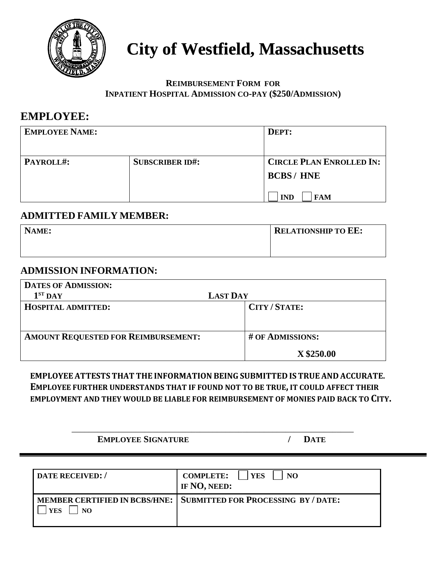

# **City of Westfield, Massachusetts**

### **REIMBURSEMENT FORM FOR INPATIENT HOSPITAL ADMISSION CO-PAY (\$250/ADMISSION)**

## **EMPLOYEE:**

| <b>EMPLOYEE NAME:</b> |                        | DEPT:                                              |
|-----------------------|------------------------|----------------------------------------------------|
| PAYROLL#:             | <b>SUBSCRIBER ID#:</b> | <b>CIRCLE PLAN ENROLLED IN:</b><br><b>BCBS/HNE</b> |
|                       |                        | <b>IND</b><br><b>FAM</b>                           |

### **ADMITTED FAMILY MEMBER:**

| NAME: | <b>RELATIONSHIP TO EE:</b> |
|-------|----------------------------|
|       |                            |

### **ADMISSION INFORMATION:**

| <b>DATES OF ADMISSION:</b>                 |                  |
|--------------------------------------------|------------------|
| $1ST$ DAY                                  | <b>LAST DAY</b>  |
| <b>HOSPITAL ADMITTED:</b>                  | CITY/STATE:      |
|                                            |                  |
|                                            |                  |
| <b>AMOUNT REQUESTED FOR REIMBURSEMENT:</b> | # OF ADMISSIONS: |
|                                            | X \$250.00       |

### **EMPLOYEE ATTESTS THAT THE INFORMATION BEING SUBMITTED IS TRUE AND ACCURATE. EMPLOYEE FURTHER UNDERSTANDS THAT IF FOUND NOT TO BE TRUE, IT COULD AFFECT THEIR EMPLOYMENT AND THEY WOULD BE LIABLE FOR REIMBURSEMENT OF MONIES PAID BACK TO CITY.**

\_\_\_\_\_\_\_\_\_\_\_\_\_\_\_\_\_\_\_\_\_\_\_\_\_\_\_\_\_\_\_\_\_\_\_\_\_\_\_\_\_\_\_\_\_\_\_\_\_\_\_\_\_\_\_\_\_\_\_\_\_\_\_\_\_\_

**EMPLOYEE SIGNATURE / DATE**

| DATE RECEIVED:/   | <b>COMPLETE:</b><br><b>YES</b><br>NO.<br>IF NO, NEED:             |
|-------------------|-------------------------------------------------------------------|
| <b>YES</b><br>NO. | MEMBER CERTIFIED IN BCBS/HNE: SUBMITTED FOR PROCESSING BY / DATE: |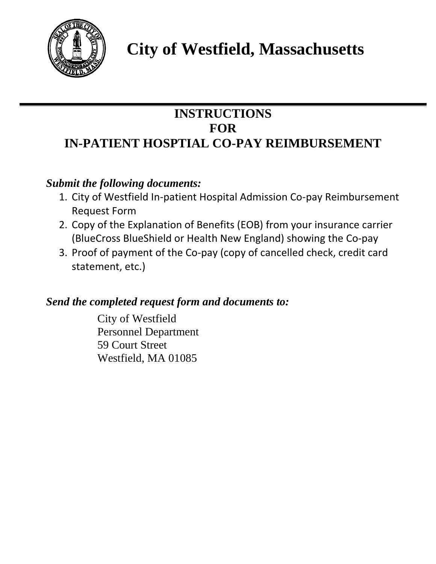

# **City of Westfield, Massachusetts**

# **INSTRUCTIONS FOR IN-PATIENT HOSPTIAL CO-PAY REIMBURSEMENT**

# *Submit the following documents:*

- 1. City of Westfield In-patient Hospital Admission Co-pay Reimbursement Request Form
- 2. Copy of the Explanation of Benefits (EOB) from your insurance carrier (BlueCross BlueShield or Health New England) showing the Co-pay
- 3. Proof of payment of the Co-pay (copy of cancelled check, credit card statement, etc.)

## *Send the completed request form and documents to:*

City of Westfield Personnel Department 59 Court Street Westfield, MA 01085